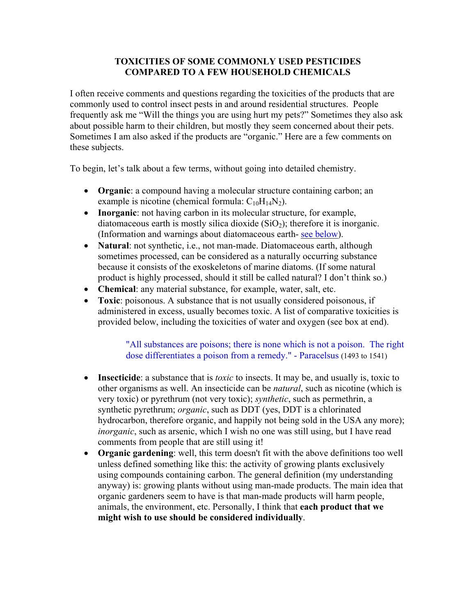### **TOXICITIES OF SOME COMMONLY USED PESTICIDES COMPARED TO A FEW HOUSEHOLD CHEMICALS**

I often receive comments and questions regarding the toxicities of the products that are commonly used to control insect pests in and around residential structures. People frequently ask me "Will the things you are using hurt my pets?" Sometimes they also ask about possible harm to their children, but mostly they seem concerned about their pets. Sometimes I am also asked if the products are "organic." Here are a few comments on these subjects.

To begin, let's talk about a few terms, without going into detailed chemistry.

- **Organic**: a compound having a molecular structure containing carbon; an example is nicotine (chemical formula:  $C_{10}H_{14}N_2$ ).
- **Inorganic**: not having carbon in its molecular structure, for example, diatomaceous earth is mostly silica dioxide  $(SiO<sub>2</sub>)$ ; therefore it is inorganic. (Information and warnings about diatomaceous earth- see below).
- **Natural**: not synthetic, i.e., not man-made. Diatomaceous earth, although sometimes processed, can be considered as a naturally occurring substance because it consists of the exoskeletons of marine diatoms. (If some natural product is highly processed, should it still be called natural? I don't think so.)
- **Chemical**: any material substance, for example, water, salt, etc.
- **Toxic**: poisonous. A substance that is not usually considered poisonous, if administered in excess, usually becomes toxic. A list of comparative toxicities is provided below, including the toxicities of water and oxygen (see box at end).

"All substances are poisons; there is none which is not a poison. The right dose differentiates a poison from a remedy." - Paracelsus (1493 to 1541)

- **Insecticide**: a substance that is *toxic* to insects. It may be, and usually is, toxic to other organisms as well. An insecticide can be *natural*, such as nicotine (which is very toxic) or pyrethrum (not very toxic); *synthetic*, such as permethrin, a synthetic pyrethrum; *organic*, such as DDT (yes, DDT is a chlorinated hydrocarbon, therefore organic, and happily not being sold in the USA any more); *inorganic*, such as arsenic, which I wish no one was still using, but I have read comments from people that are still using it!
- **Organic gardening**: well, this term doesn't fit with the above definitions too well unless defined something like this: the activity of growing plants exclusively using compounds containing carbon. The general definition (my understanding anyway) is: growing plants without using man-made products. The main idea that organic gardeners seem to have is that man-made products will harm people, animals, the environment, etc. Personally, I think that **each product that we might wish to use should be considered individually**.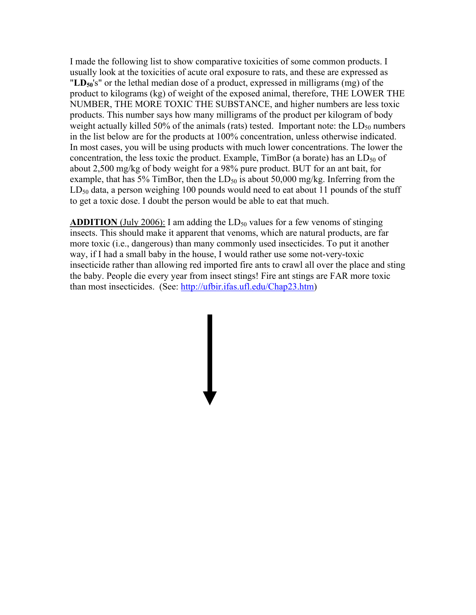I made the following list to show comparative toxicities of some common products. I usually look at the toxicities of acute oral exposure to rats, and these are expressed as "**LD50**'s" or the lethal median dose of a product, expressed in milligrams (mg) of the product to kilograms (kg) of weight of the exposed animal, therefore, THE LOWER THE NUMBER, THE MORE TOXIC THE SUBSTANCE, and higher numbers are less toxic products. This number says how many milligrams of the product per kilogram of body weight actually killed 50% of the animals (rats) tested. Important note: the  $LD_{50}$  numbers in the list below are for the products at 100% concentration, unless otherwise indicated. In most cases, you will be using products with much lower concentrations. The lower the concentration, the less toxic the product. Example,  $TimBor$  (a borate) has an  $LD_{50}$  of about 2,500 mg/kg of body weight for a 98% pure product. BUT for an ant bait, for example, that has 5% TimBor, then the  $LD_{50}$  is about 50,000 mg/kg. Inferring from the  $LD_{50}$  data, a person weighing 100 pounds would need to eat about 11 pounds of the stuff to get a toxic dose. I doubt the person would be able to eat that much.

**ADDITION** (July 2006): I am adding the  $LD_{50}$  values for a few venoms of stinging insects. This should make it apparent that venoms, which are natural products, are far more toxic (i.e., dangerous) than many commonly used insecticides. To put it another way, if I had a small baby in the house, I would rather use some not-very-toxic insecticide rather than allowing red imported fire ants to crawl all over the place and sting the baby. People die every year from insect stings! Fire ant stings are FAR more toxic than most insecticides. (See: http://ufbir.ifas.ufl.edu/Chap23.htm)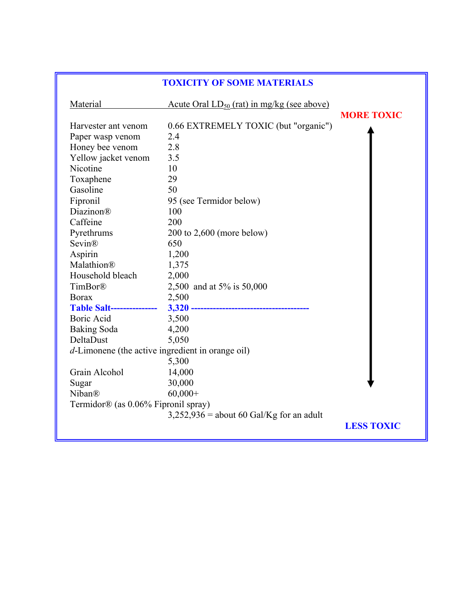| <b>TOXICITY OF SOME MATERIALS</b>                                                                                                                                                                                                       |                                                                                                                                                                                         |                   |
|-----------------------------------------------------------------------------------------------------------------------------------------------------------------------------------------------------------------------------------------|-----------------------------------------------------------------------------------------------------------------------------------------------------------------------------------------|-------------------|
| Material                                                                                                                                                                                                                                | <u>Acute Oral <math>LD_{50}</math> (rat) in mg/kg (see above)</u>                                                                                                                       |                   |
| Harvester ant venom<br>Paper wasp venom<br>Honey bee venom<br>Yellow jacket venom<br>Nicotine<br>Toxaphene<br>Gasoline<br>Fipronil<br><b>Diazinon®</b><br>Caffeine<br>Pyrethrums<br>Sevin®<br>Aspirin<br>Malathion®<br>Household bleach | 0.66 EXTREMELY TOXIC (but "organic")<br>2.4<br>2.8<br>3.5<br>10<br>29<br>50<br>95 (see Termidor below)<br>100<br>200<br>$200$ to $2,600$ (more below)<br>650<br>1,200<br>1,375<br>2,000 | <b>MORE TOXIC</b> |
| TimBor®<br><b>Borax</b><br><b>Table Salt----------------</b><br>Boric Acid<br>Baking Soda<br>DeltaDust<br>d-Limonene (the active ingredient in orange oil)<br>Grain Alcohol<br>Sugar<br>Niban®<br>Termidor® (as 0.06% Fipronil spray)   | 2,500 and at 5% is 50,000<br>2,500<br>3,500<br>4,200<br>5,050<br>5,300<br>14,000<br>30,000<br>$60,000+$                                                                                 |                   |
|                                                                                                                                                                                                                                         | $3,252,936$ = about 60 Gal/Kg for an adult                                                                                                                                              | <b>LESS TOXIC</b> |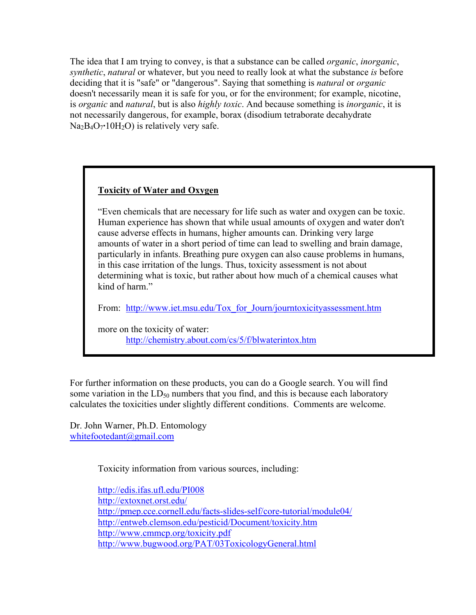The idea that I am trying to convey, is that a substance can be called *organic*, *inorganic*, *synthetic*, *natural* or whatever, but you need to really look at what the substance *is* before deciding that it is "safe" or "dangerous". Saying that something is *natural* or *organic* doesn't necessarily mean it is safe for you, or for the environment; for example, nicotine, is *organic* and *natural*, but is also *highly toxic*. And because something is *inorganic*, it is not necessarily dangerous, for example, borax (disodium tetraborate decahydrate  $Na<sub>2</sub>B<sub>4</sub>O<sub>7</sub>$ <sup>-</sup>10H<sub>2</sub>O) is relatively very safe.

### **Toxicity of Water and Oxygen**

"Even chemicals that are necessary for life such as water and oxygen can be toxic. Human experience has shown that while usual amounts of oxygen and water don't cause adverse effects in humans, higher amounts can. Drinking very large amounts of water in a short period of time can lead to swelling and brain damage, particularly in infants. Breathing pure oxygen can also cause problems in humans, in this case irritation of the lungs. Thus, toxicity assessment is not about determining what is toxic, but rather about how much of a chemical causes what kind of harm."

From: http://www.iet.msu.edu/Tox for Journ/journtoxicityassessment.htm

more on the toxicity of water: http://chemistry.about.com/cs/5/f/blwaterintox.htm

For further information on these products, you can do a Google search. You will find some variation in the  $LD_{50}$  numbers that you find, and this is because each laboratory calculates the toxicities under slightly different conditions. Comments are welcome.

Dr. John Warner, Ph.D. Entomology whitefootedant@gmail.com

Toxicity information from various sources, including:

http://edis.ifas.ufl.edu/PI008 http://extoxnet.orst.edu/ http://pmep.cce.cornell.edu/facts-slides-self/core-tutorial/module04/ http://entweb.clemson.edu/pesticid/Document/toxicity.htm http://www.cmmcp.org/toxicity.pdf http://www.bugwood.org/PAT/03ToxicologyGeneral.html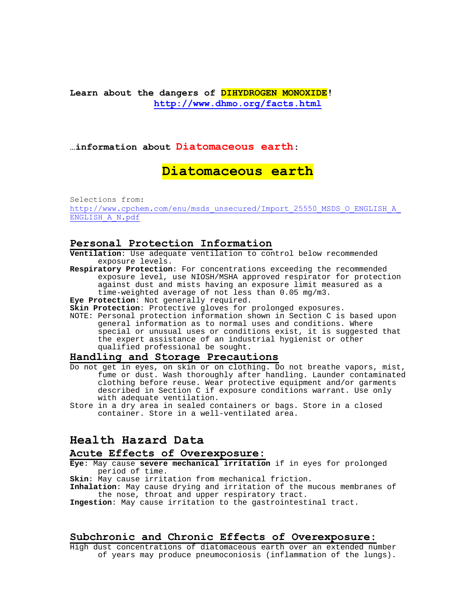### **Learn about the dangers of DIHYDROGEN MONOXIDE! http://www.dhmo.org/facts.html**

#### **…information about Diatomaceous earth:**

# **Diatomaceous earth**

Selections from: http://www.cpchem.com/enu/msds\_unsecured/Import\_25550\_MSDS\_O\_ENGLISH\_A\_ ENGLISH\_A\_N.pdf

#### **Personal Protection Information**

**Ventilation**: Use adequate ventilation to control below recommended exposure levels.

- **Respiratory Protection**: For concentrations exceeding the recommended exposure level, use NIOSH/MSHA approved respirator for protection against dust and mists having an exposure limit measured as a time-weighted average of not less than 0.05 mg/m3.
- **Eye Protection**: Not generally required.

**Skin Protection**: Protective gloves for prolonged exposures.

NOTE: Personal protection information shown in Section C is based upon general information as to normal uses and conditions. Where special or unusual uses or conditions exist, it is suggested that the expert assistance of an industrial hygienist or other qualified professional be sought.

#### **Handling and Storage Precautions**

- Do not get in eyes, on skin or on clothing. Do not breathe vapors, mist, fume or dust. Wash thoroughly after handling. Launder contaminated clothing before reuse. Wear protective equipment and/or garments described in Section C if exposure conditions warrant. Use only with adequate ventilation.
- Store in a dry area in sealed containers or bags. Store in a closed container. Store in a well-ventilated area.

### **Health Hazard Data**

## **Acute Effects of Overexposure:**

- **Eye**: May cause **severe mechanical irritation** if in eyes for prolonged period of time.
- **Skin**: May cause irritation from mechanical friction.
- **Inhalation**: May cause drying and irritation of the mucous membranes of the nose, throat and upper respiratory tract.

**Ingestion**: May cause irritation to the gastrointestinal tract.

#### **Subchronic and Chronic Effects of Overexposure:**

High dust concentrations of diatomaceous earth over an extended number of years may produce pneumoconiosis (inflammation of the lungs).